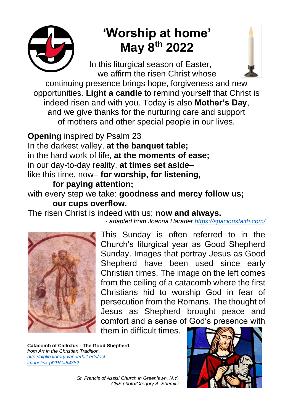

# **'Worship at home' May 8 th 2022**

 In this liturgical season of Easter, we affirm the risen Christ whose

continuing presence brings hope, forgiveness and new opportunities. **Light a candle** to remind yourself that Christ is indeed risen and with you. Today is also **Mother's Day**, and we give thanks for the nurturing care and support of mothers and other special people in our lives.

#### **Opening** inspired by Psalm 23

In the darkest valley, **at the banquet table;** in the hard work of life, **at the moments of ease;** in our day-to-day reality, **at times set aside–** like this time, now– **for worship, for listening,** 

#### **for paying attention;**

with every step we take: **goodness and mercy follow us; our cups overflow.**

The risen Christ is indeed with us; **now and always.**

*~ adapted from Joanna Harade[r https://spaciousfaith.com/](https://spaciousfaith.com/)*



This Sunday is often referred to in the Church's liturgical year as Good Shepherd Sunday. Images that portray Jesus as Good Shepherd have been used since early Christian times. The image on the left comes from the ceiling of a catacomb where the first Christians hid to worship God in fear of persecution from the Romans. The thought of Jesus as Shepherd brought peace and comfort and a sense of God's presence with them in difficult times.

**Catacomb of Callixtus - The Good Shepherd** *from Art in the Christian Tradition, [http://diglib.library.vanderbilt.edu/act](http://diglib.library.vanderbilt.edu/act-imagelink.pl?RC=54382)[imagelink.pl?RC=54382](http://diglib.library.vanderbilt.edu/act-imagelink.pl?RC=54382)*



*St. Francis of Assisi Church in Greenlawn, N.Y. CNS photo/Gregory A. Shemitz*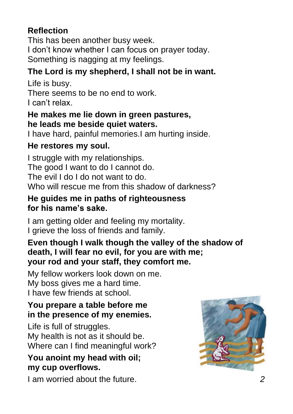# **Reflection**

This has been another busy week. I don't know whether I can focus on prayer today. Something is nagging at my feelings.

# **The Lord is my shepherd, I shall not be in want.**

Life is busy. There seems to be no end to work. I can't relax.

#### **He makes me lie down in green pastures, he leads me beside quiet waters.**

I have hard, painful memories.I am hurting inside.

# **He restores my soul.**

I struggle with my relationships. The good I want to do I cannot do. The evil I do I do not want to do. Who will rescue me from this shadow of darkness?

## **He guides me in paths of righteousness for his name's sake.**

I am getting older and feeling my mortality. I grieve the loss of friends and family.

## **Even though I walk though the valley of the shadow of death, I will fear no evil, for you are with me; your rod and your staff, they comfort me.**

My fellow workers look down on me. My boss gives me a hard time. I have few friends at school.

# **You prepare a table before me in the presence of my enemies.**

Life is full of struggles. My health is not as it should be. Where can I find meaningful work?

## **You anoint my head with oil; my cup overflows.**

I am worried about the future. *2*

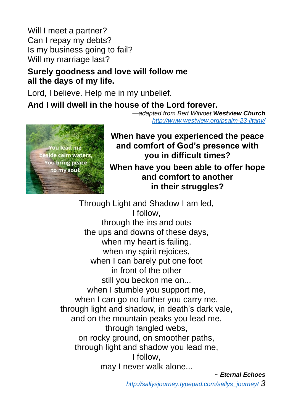Will I meet a partner? Can I repay my debts? Is my business going to fail? Will my marriage last?

#### **Surely goodness and love will follow me all the days of my life.**

Lord, I believe. Help me in my unbelief.

#### **And I will dwell in the house of the Lord forever.**

*—adapted from Bert Witvoet Westview Church <http://www.westview.org/psalm-23-litany/>*



**When have you experienced the peace and comfort of God's presence with you in difficult times? When have you been able to offer hope and comfort to another in their struggles?**

Through Light and Shadow I am led, I follow, through the ins and outs the ups and downs of these days, when my heart is failing, when my spirit rejoices, when I can barely put one foot in front of the other still you beckon me on... when I stumble you support me, when I can go no further you carry me, through light and shadow, in death's dark vale, and on the mountain peaks you lead me, through tangled webs, on rocky ground, on smoother paths, through light and shadow you lead me, I follow, may I never walk alone...

*~ Eternal Echoes*